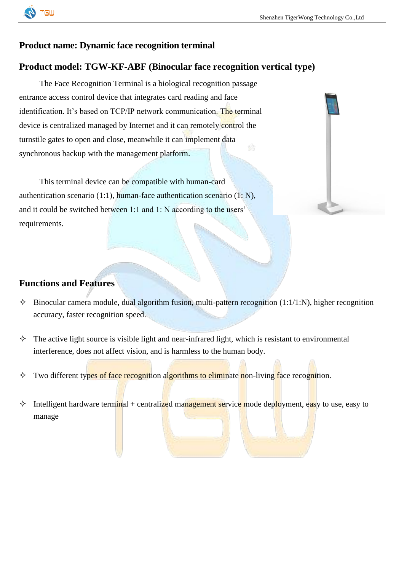

### **Product name: Dynamic face recognition terminal**

### **Product model: TGW-KF-ABF (Binocular face recognition vertical type)**

The Face Recognition Terminal is a biological recognition passage entrance access control device that integrates card reading and face identification. It's based on TCP/IP network communication. The terminal device is centralized managed by Internet and it can remotely control the turnstile gates to open and close, meanwhile it can implement data synchronous backup with the management platform.

This terminal device can be compatible with human-card authentication scenario (1:1), human-face authentication scenario (1: N), and it could be switched between 1:1 and 1: N according to the users' requirements.

#### **Functions and Features**

- $\Diamond$  Binocular camera module, dual algorithm fusion, multi-pattern recognition (1:1/1:N), higher recognition accuracy, faster recognition speed.
- $\Diamond$  The active light source is visible light and near-infrared light, which is resistant to environmental interference, does not affect vision, and is harmless to the human body.
- $\Diamond$  Two different types of face recognition algorithms to eliminate non-living face recognition.
- $\Diamond$  Intelligent hardware terminal + centralized management service mode deployment, easy to use, easy to manage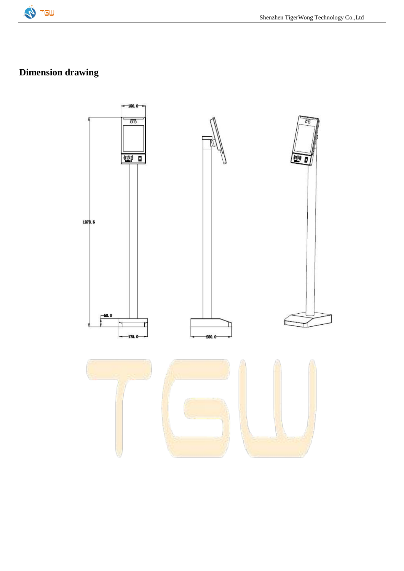

# **Dimension drawing**